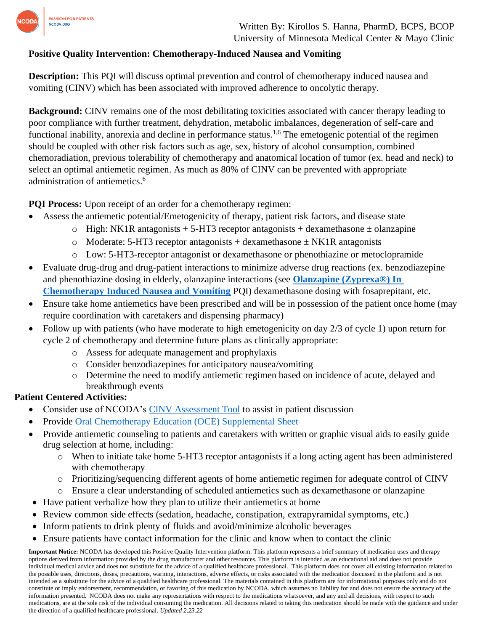

Written By: Kirollos S. Hanna, PharmD, BCPS, BCOP University of Minnesota Medical Center & Mayo Clinic

## **Positive Quality Intervention: Chemotherapy-Induced Nausea and Vomiting**

**Description:** This PQI will discuss optimal prevention and control of chemotherapy induced nausea and vomiting (CINV) which has been associated with improved adherence to oncolytic therapy.

**Background:** CINV remains one of the most debilitating toxicities associated with cancer therapy leading to poor compliance with further treatment, dehydration, metabolic imbalances, degeneration of self-care and functional inability, anorexia and decline in performance status.<sup>1,6</sup> The emetogenic potential of the regimen should be coupled with other risk factors such as age, sex, history of alcohol consumption, combined chemoradiation, previous tolerability of chemotherapy and anatomical location of tumor (ex. head and neck) to select an optimal antiemetic regimen. As much as 80% of CINV can be prevented with appropriate administration of antiemetics. 6

**PQI Process:** Upon receipt of an order for a chemotherapy regimen:

- Assess the antiemetic potential/Emetogenicity of therapy, patient risk factors, and disease state
	- o High: NK1R antagonists  $+ 5$ -HT3 receptor antagonists  $+$  dexamethasone  $\pm$  olanzapine
	- $\circ$  Moderate: 5-HT3 receptor antagonists + dexamethasone  $\pm$  NK1R antagonists
	- o Low: 5-HT3-receptor antagonist or dexamethasone or phenothiazine or metoclopramide
- Evaluate drug-drug and drug-patient interactions to minimize adverse drug reactions (ex. benzodiazepine and phenothiazine dosing in elderly, olanzapine interactions (see **[Olanzapine \(Zyprexa®\) In](https://www.ncoda.org/wp-content/uploads/pqis/Olanzapine-Zyprexa-In-Chemotherapy-Induced-Nausea-and-Vomiting-updated-3.10.22.pdf)  [Chemotherapy Induced Nausea and Vomiting](https://www.ncoda.org/wp-content/uploads/pqis/Olanzapine-Zyprexa-In-Chemotherapy-Induced-Nausea-and-Vomiting-updated-3.10.22.pdf)** PQI) dexamethasone dosing with fosaprepitant, etc.
- Ensure take home antiemetics have been prescribed and will be in possession of the patient once home (may require coordination with caretakers and dispensing pharmacy)
- Follow up with patients (who have moderate to high emetogenicity on day 2/3 of cycle 1) upon return for cycle 2 of chemotherapy and determine future plans as clinically appropriate:
	- o Assess for adequate management and prophylaxis
	- o Consider benzodiazepines for anticipatory nausea/vomiting
	- o Determine the need to modify antiemetic regimen based on incidence of acute, delayed and breakthrough events

## **Patient Centered Activities:**

- Consider use of NCODA's [CINV Assessment Tool](https://www.ncoda.org/toolkit/cinv-assessment-tool/) to assist in patient discussion
- Provide [Oral Chemotherapy Education \(OCE\) Supplemental Sheet](https://www.oralchemoedsheets.com/index.php/supplement-library/27-supplemental-available/495-nauseaandvomiting)
- Provide antiemetic counseling to patients and caretakers with written or graphic visual aids to easily guide drug selection at home, including:
	- o When to initiate take home 5-HT3 receptor antagonists if a long acting agent has been administered with chemotherapy
	- o Prioritizing/sequencing different agents of home antiemetic regimen for adequate control of CINV
	- o Ensure a clear understanding of scheduled antiemetics such as dexamethasone or olanzapine
- Have patient verbalize how they plan to utilize their antiemetics at home
- Review common side effects (sedation, headache, constipation, extrapyramidal symptoms, etc.)
- Inform patients to drink plenty of fluids and avoid/minimize alcoholic beverages
- Ensure patients have contact information for the clinic and know when to contact the clinic

**Important Notice:** NCODA has developed this Positive Quality Intervention platform. This platform represents a brief summary of medication uses and therapy options derived from information provided by the drug manufacturer and other resources. This platform is intended as an educational aid and does not provide individual medical advice and does not substitute for the advice of a qualified healthcare professional. This platform does not cover all existing information related to the possible uses, directions, doses, precautions, warning, interactions, adverse effects, or risks associated with the medication discussed in the platform and is not intended as a substitute for the advice of a qualified healthcare professional. The materials contained in this platform are for informational purposes only and do not constitute or imply endorsement, recommendation, or favoring of this medication by NCODA, which assumes no liability for and does not ensure the accuracy of the information presented. NCODA does not make any representations with respect to the medications whatsoever, and any and all decisions, with respect to such medications, are at the sole risk of the individual consuming the medication. All decisions related to taking this medication should be made with the guidance and under the direction of a qualified healthcare professional. *Updated 2.23.22*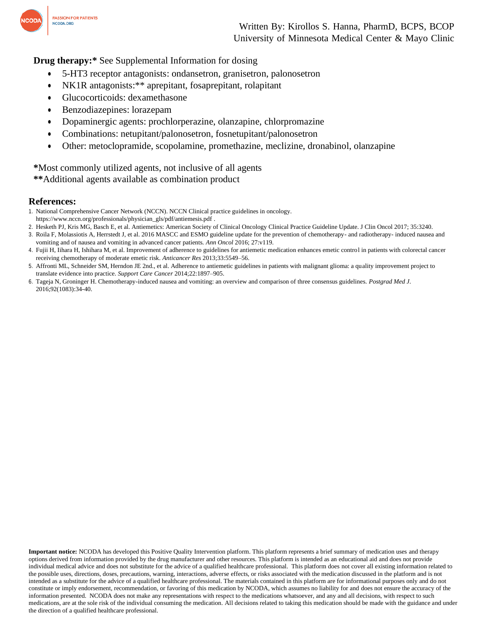

Written By: Kirollos S. Hanna, PharmD, BCPS, BCOP University of Minnesota Medical Center & Mayo Clinic

**Drug therapy:\*** See Supplemental Information for dosing

- 5-HT3 receptor antagonists: ondansetron, granisetron, palonosetron
- NK1R antagonists: \*\* aprepitant, fosaprepitant, rolapitant
- Glucocorticoids: dexamethasone
- Benzodiazepines: lorazepam
- Dopaminergic agents: prochlorperazine, olanzapine, chlorpromazine
- Combinations: netupitant/palonosetron, fosnetupitant/palonosetron
- Other: metoclopramide, scopolamine, promethazine, meclizine, dronabinol, olanzapine

**\***Most commonly utilized agents, not inclusive of all agents **\*\***Additional agents available as combination product

## **References:**

- 1. National Comprehensive Cancer Network (NCCN). NCCN Clinical practice guidelines in oncology.
- https:/[/www.nccn.org/professionals/physician\\_gls/pdf/antiemesis.pdf .](http://www.nccn.org/professionals/physician_gls/pdf/antiemesis.pdf)
- 2. Hesketh PJ, Kris MG, Basch E, et al. Antiemetics: American Society of Clinical Oncology Clinical Practice Guideline Update. J Clin Oncol 2017; 35:3240.
- 3. Roila F, Molassiotis A, Herrstedt J, et al. 2016 MASCC and ESMO guideline update for the prevention of chemotherapy- and radiotherapy- induced nausea and vomiting and of nausea and vomiting in advanced cancer patients. *Ann Oncol* 2016; 27:v119.
- 4. Fujii H, Iihara H, Ishihara M, et al. Improvement of adherence to guidelines for antiemetic medication enhances emetic control in patients with colorectal cancer receiving chemotherapy of moderate emetic risk. *Anticancer Res* 2013;33:5549–56.
- 5. Affronti ML, Schneider SM, Herndon JE 2nd., et al. Adherence to antiemetic guidelines in patients with malignant glioma: a quality improvement project to translate evidence into practice. *Support Care Cancer* 2014;22:1897–905.
- 6. Tageja N, Groninger H. Chemotherapy-induced nausea and vomiting: an overview and comparison of three consensus guidelines. *Postgrad Med J*. 2016;92(1083):34-40.

**Important notice:** NCODA has developed this Positive Quality Intervention platform. This platform represents a brief summary of medication uses and therapy options derived from information provided by the drug manufacturer and other resources. This platform is intended as an educational aid and does not provide individual medical advice and does not substitute for the advice of a qualified healthcare professional. This platform does not cover all existing information related to the possible uses, directions, doses, precautions, warning, interactions, adverse effects, or risks associated with the medication discussed in the platform and is not intended as a substitute for the advice of a qualified healthcare professional. The materials contained in this platform are for informational purposes only and do not constitute or imply endorsement, recommendation, or favoring of this medication by NCODA, which assumes no liability for and does not ensure the accuracy of the information presented. NCODA does not make any representations with respect to the medications whatsoever, and any and all decisions, with respect to such medications, are at the sole risk of the individual consuming the medication. All decisions related to taking this medication should be made with the guidance and under the direction of a qualified healthcare professional.